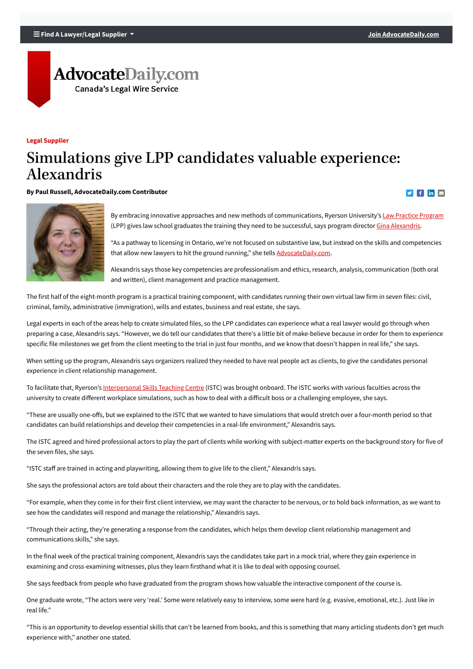#### **Find A Lawyer/Legal Supplier [Join AdvocateDaily.com](https://www.advocatedaily.com/join-advocate-daily.html)**

# **AdvocateDaily.com Canada's Legal Wire Service**

**Legal Supplier**

## Simulations give LPP candidates valuable experience: Alexandris

"As a pathway to licensing in Ontario, we're not focused on substantive law, but instead on the skills and competencies that allow new lawyers to hit the ground running," she tells [AdvocateDaily.com](https://www.advocatedaily.com/).

Alexandris says those key competencies are professionalism and ethics, research, analysis, communication (both oral and written), client management and practice management.

The first half of the eight-month program is a practical training component, with candidates running their own virtual law firm in seven files: civil, criminal, family, administrative (immigration), wills and estates, business and real estate, she says.

"These are usually one-offs, but we explained to the ISTC that we wanted to have simulations that would stretch over a four-month period so that candidates can build relationships and develop their competencies in a real-life environment," Alexandris says.

Legal experts in each of the areas help to create simulated files, so the LPP candidates can experience what a real lawyer would go through when preparing a case, Alexandris says. "However, we do tell our candidates that there's a little bit of make-believe because in order for them to experience specific file milestones we get from the client meeting to the trial in just four months, and we know that doesn't happen in real life," she says.

When setting up the program, Alexandris says organizers realized they needed to have real people act as clients, to give the candidates personal experience in client relationship management.

To facilitate that, Ryerson's [Interpersonal Skills Teaching Centre](https://www.ryerson.ca/istc/) (ISTC) was brought onboard. The ISTC works with various faculties across the university to create different workplace simulations, such as how to deal with a difficult boss or a challenging employee, she says.

The ISTC agreed and hired professional actors to play the part of clients while working with subject-matter experts on the background story for five of the seven files, she says.

"ISTC staff are trained in acting and playwriting, allowing them to give life to the client," Alexandris says.

She says the professional actors are told about their characters and the role they are to play with the candidates.

"For example, when they come in for their first client interview, we may want the character to be nervous, or to hold back information, as we want to

see how the candidates will respond and manage the relationship," Alexandris says.

"Through their acting, they're generating a response from the candidates, which helps them develop client relationship management and communications skills," she says.

In the final week of the practical training component, Alexandris says the candidates take part in a mock trial, where they gain experience in examining and cross-examining witnesses, plus they learn firsthand what it is like to deal with opposing counsel.

She says feedback from people who have graduated from the program shows how valuable the interactive component of the course is.

One graduate wrote, "The actors were very 'real.' Some were relatively easy to interview, some were hard (e.g. evasive, emotional, etc.). Just like in real life."

"This is an opportunity to develop essential skills that can't be learned from books, and this is something that many articling students don't get much experience with," another one stated.

**By Paul Russell, AdvocateDaily.com Contributor**



By embracing innovative approaches and new methods of communications, Ryerson University's **Law Practice Program** (LPP) gives law school graduates the training they need to be successful, says program director [Gina Alexandris](http://www.lpp.ryerson.ca/?about-us=gina-alexandris).